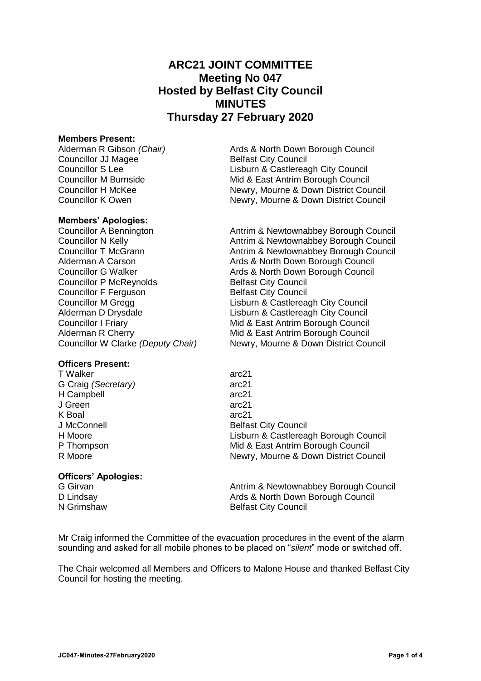# **ARC21 JOINT COMMITTEE Meeting No 047 Hosted by Belfast City Council MINUTES Thursday 27 February 2020**

#### **Members Present:**

Alderman R Gibson *(Chair)* Ards & North Down Borough Council Councillor JJ Magee<br>
Councillor S Lee **Belfast City Council**<br>
Lisburn & Castlerea Councillor M Burnside **Mid & East Antrim Borough Council** Councillor H McKee Newry, Mourne & Down District Council Councillor K Owen Newry, Mourne & Down District Council

**Members' Apologies:**

Councillor A Bennington **Antrim & Newtownabbey Borough Council** Councillor N Kelly **Antrim & Newtownabbey Borough Council** Councillor T McGrann **Antrim & Newtownabbey Borough Council** Alderman A Carson **Ards & North Down Borough Council**<br>Councillor G Walker **Ards & North Down Borough Council** Ards & North Down Borough Council Councillor P McReynolds Belfast City Council Councillor F Ferguson Belfast City Council Councillor M Gregg Lisburn & Castlereagh City Council Alderman D Drysdale **Lisburn & Castlereagh City Council** Councillor I Friary Mid & East Antrim Borough Council Alderman R Cherry **Mid & East Antrim Borough Council** Councillor W Clarke *(Deputy Chair)* Newry, Mourne & Down District Council

## **Officers Present:**

T Walker arc21 G Craig *(Secretary)* arc21 H Campbell arc21 J Green arc21 K Boal arc21

# **Officers' Apologies:**

J McConnell **Belfast City Council** H Moore Lisburn & Castlereagh Borough Council P Thompson Mid & East Antrim Borough Council R Moore **Newry, Mourne & Down District Council** R Moore

Lisburn & Castlereagh City Council

G Girvan **Antrim & Newtownabbey Borough Council** Antrim & Newtownabbey Borough Council D Lindsay **Ards & North Down Borough Council** Published Ards & North Down Borough Council N Grimshaw Belfast City Council

Mr Craig informed the Committee of the evacuation procedures in the event of the alarm sounding and asked for all mobile phones to be placed on "*silent*" mode or switched off.

The Chair welcomed all Members and Officers to Malone House and thanked Belfast City Council for hosting the meeting.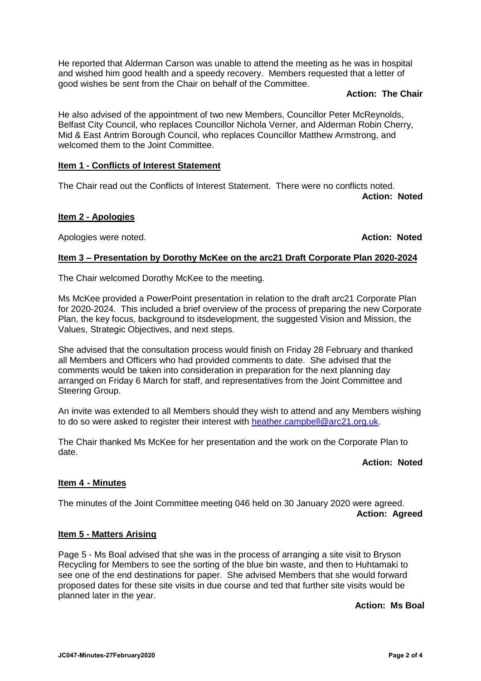He reported that Alderman Carson was unable to attend the meeting as he was in hospital and wished him good health and a speedy recovery. Members requested that a letter of good wishes be sent from the Chair on behalf of the Committee.

## **Action: The Chair**

He also advised of the appointment of two new Members, Councillor Peter McReynolds, Belfast City Council, who replaces Councillor Nichola Verner, and Alderman Robin Cherry, Mid & East Antrim Borough Council, who replaces Councillor Matthew Armstrong, and welcomed them to the Joint Committee.

# **Item 1 - Conflicts of Interest Statement**

The Chair read out the Conflicts of Interest Statement. There were no conflicts noted. **Action: Noted**

# **Item 2 - Apologies**

Apologies were noted. **Action: Noted**

## **Item 3 – Presentation by Dorothy McKee on the arc21 Draft Corporate Plan 2020-2024**

The Chair welcomed Dorothy McKee to the meeting.

Ms McKee provided a PowerPoint presentation in relation to the draft arc21 Corporate Plan for 2020-2024. This included a brief overview of the process of preparing the new Corporate Plan, the key focus, background to itsdevelopment, the suggested Vision and Mission, the Values, Strategic Objectives, and next steps.

She advised that the consultation process would finish on Friday 28 February and thanked all Members and Officers who had provided comments to date. She advised that the comments would be taken into consideration in preparation for the next planning day arranged on Friday 6 March for staff, and representatives from the Joint Committee and Steering Group.

An invite was extended to all Members should they wish to attend and any Members wishing to do so were asked to register their interest with [heather.campbell@arc21.org.uk.](mailto:heather.campbell@arc21.org.uk)

The Chair thanked Ms McKee for her presentation and the work on the Corporate Plan to date.

## **Action: Noted**

## **Item 4 - Minutes**

The minutes of the Joint Committee meeting 046 held on 30 January 2020 were agreed. **Action: Agreed**

## **Item 5 - Matters Arising**

Page 5 - Ms Boal advised that she was in the process of arranging a site visit to Bryson Recycling for Members to see the sorting of the blue bin waste, and then to Huhtamaki to see one of the end destinations for paper. She advised Members that she would forward proposed dates for these site visits in due course and ted that further site visits would be planned later in the year.

**Action: Ms Boal**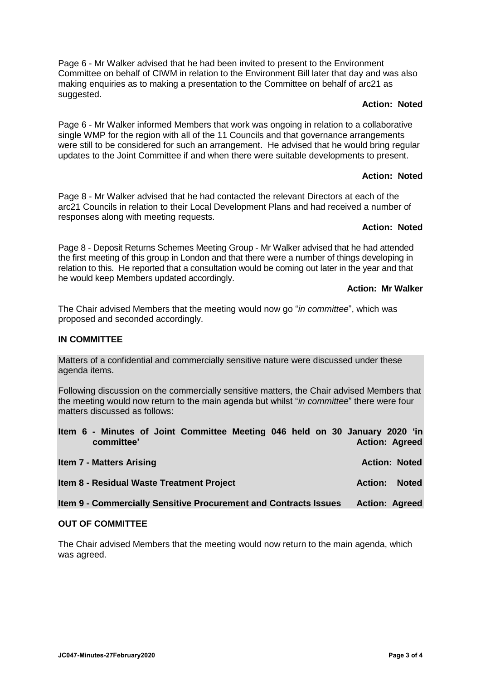Page 6 - Mr Walker advised that he had been invited to present to the Environment Committee on behalf of CIWM in relation to the Environment Bill later that day and was also making enquiries as to making a presentation to the Committee on behalf of arc21 as suggested.

# **Action: Noted**

Page 6 - Mr Walker informed Members that work was ongoing in relation to a collaborative single WMP for the region with all of the 11 Councils and that governance arrangements were still to be considered for such an arrangement. He advised that he would bring regular updates to the Joint Committee if and when there were suitable developments to present.

# **Action: Noted**

Page 8 - Mr Walker advised that he had contacted the relevant Directors at each of the arc21 Councils in relation to their Local Development Plans and had received a number of responses along with meeting requests.

# **Action: Noted**

Page 8 - Deposit Returns Schemes Meeting Group - Mr Walker advised that he had attended the first meeting of this group in London and that there were a number of things developing in relation to this. He reported that a consultation would be coming out later in the year and that he would keep Members updated accordingly.

# **Action: Mr Walker**

The Chair advised Members that the meeting would now go "*in committee*", which was proposed and seconded accordingly.

# **IN COMMITTEE**

Matters of a confidential and commercially sensitive nature were discussed under these agenda items.

Following discussion on the commercially sensitive matters, the Chair advised Members that the meeting would now return to the main agenda but whilst "*in committee*" there were four matters discussed as follows:

|  | committee'                      | Item 6 - Minutes of Joint Committee Meeting 046 held on 30 January 2020 'in |  |  | <b>Action: Agreed</b> |  |
|--|---------------------------------|-----------------------------------------------------------------------------|--|--|-----------------------|--|
|  | <b>Item 7 - Matters Arising</b> |                                                                             |  |  | <b>Action: Noted</b>  |  |

**Item 8 - Residual Waste Treatment Project Action: Noted**

**Item 9 - Commercially Sensitive Procurement and Contracts Issues Action: Agreed**

## **OUT OF COMMITTEE**

The Chair advised Members that the meeting would now return to the main agenda, which was agreed.